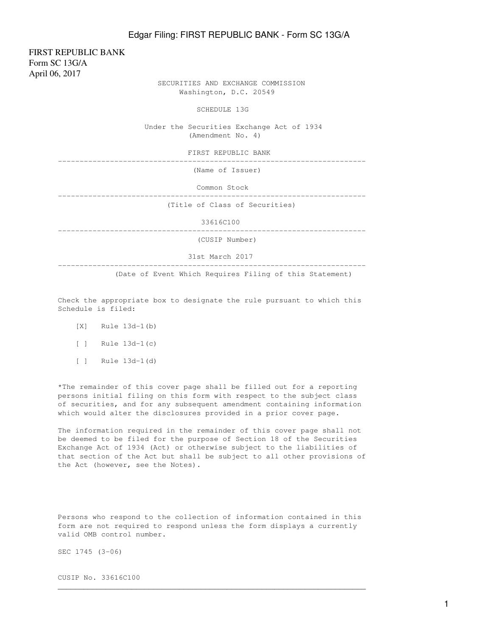FIRST REPUBLIC BANK Form SC 13G/A April 06, 2017

 SECURITIES AND EXCHANGE COMMISSION Washington, D.C. 20549

SCHEDULE 13G

 Under the Securities Exchange Act of 1934 (Amendment No. 4)

FIRST REPUBLIC BANK

-----------------------------------------------------------------------

(Name of Issuer)

Common Stock

-----------------------------------------------------------------------

(Title of Class of Securities)

33616C100

-----------------------------------------------------------------------

(CUSIP Number)

31st March 2017

(Date of Event Which Requires Filing of this Statement)

Check the appropriate box to designate the rule pursuant to which this Schedule is filed:

-----------------------------------------------------------------------

- [X] Rule 13d-1(b)
- $[ ]$  Rule 13d-1(c)
- $[ ]$  Rule 13d-1(d)

\*The remainder of this cover page shall be filled out for a reporting persons initial filing on this form with respect to the subject class of securities, and for any subsequent amendment containing information which would alter the disclosures provided in a prior cover page.

The information required in the remainder of this cover page shall not be deemed to be filed for the purpose of Section 18 of the Securities Exchange Act of 1934 (Act) or otherwise subject to the liabilities of that section of the Act but shall be subject to all other provisions of the Act (however, see the Notes).

Persons who respond to the collection of information contained in this form are not required to respond unless the form displays a currently valid OMB control number.

 $\mathcal{L}_\mathcal{L}$  , and the set of the set of the set of the set of the set of the set of the set of the set of the set of the set of the set of the set of the set of the set of the set of the set of the set of the set of th

SEC 1745 (3-06)

CUSIP No. 33616C100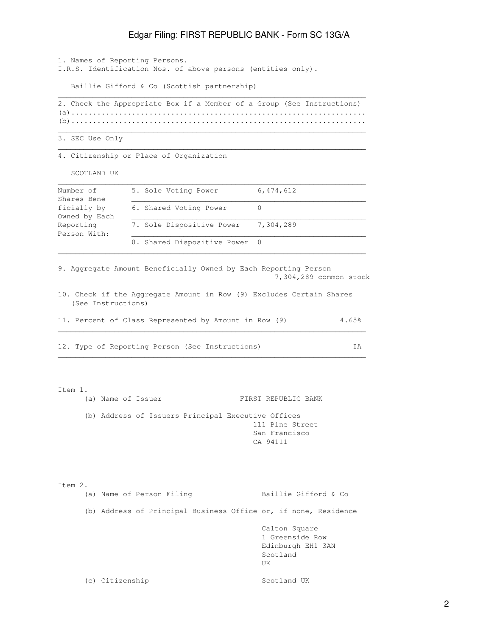1. Names of Reporting Persons. I.R.S. Identification Nos. of above persons (entities only).

Baillie Gifford & Co (Scottish partnership)

2. Check the Appropriate Box if a Member of a Group (See Instructions) (a).................................................................... (b)....................................................................

 $\mathcal{L}_\mathcal{L}$  , and the set of the set of the set of the set of the set of the set of the set of the set of the set of the set of the set of the set of the set of the set of the set of the set of the set of the set of th

 $\mathcal{L}_\text{max}$  , and the set of the set of the set of the set of the set of the set of the set of the set of the set of the set of the set of the set of the set of the set of the set of the set of the set of the set of the

 $\mathcal{L}_\mathcal{L}$  , and the set of the set of the set of the set of the set of the set of the set of the set of the set of the set of the set of the set of the set of the set of the set of the set of the set of the set of th

3. SEC Use Only

4. Citizenship or Place of Organization

SCOTLAND UK

| Number of     | 5. Sole Voting Power          | 6,474,612 |
|---------------|-------------------------------|-----------|
| Shares Bene   |                               |           |
| ficially by   | 6. Shared Voting Power        |           |
| Owned by Each |                               |           |
| Reporting     | 7. Sole Dispositive Power     | 7,304,289 |
| Person With:  |                               |           |
|               | 8. Shared Dispositive Power 0 |           |
|               |                               |           |

9. Aggregate Amount Beneficially Owned by Each Reporting Person 7,304,289 common stock

10. Check if the Aggregate Amount in Row (9) Excludes Certain Shares (See Instructions)

|  |  | 11. Percent of Class Represented by Amount in Row (9) |  |  |  | 4.65% |
|--|--|-------------------------------------------------------|--|--|--|-------|
|  |  |                                                       |  |  |  |       |

 $\mathcal{L}_\mathcal{L}$  , and the set of the set of the set of the set of the set of the set of the set of the set of the set of the set of the set of the set of the set of the set of the set of the set of the set of the set of th

12. Type of Reporting Person (See Instructions) IA

Item 1. (a) Name of Issuer FIRST REPUBLIC BANK (b) Address of Issuers Principal Executive Offices 111 Pine Street San Francisco CA 94111

Item 2. (a) Name of Person Filing Baillie Gifford & Co (b) Address of Principal Business Office or, if none, Residence Calton Square 1 Greenside Row Edinburgh EH1 3AN Scotland UK **UK** (c) Citizenship Scotland UK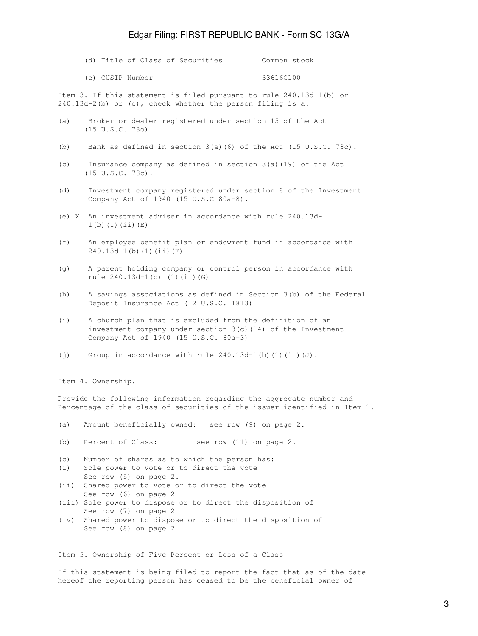|  |  | (d) Title of Class of Securities | Common stock |  |
|--|--|----------------------------------|--------------|--|
|  |  |                                  |              |  |

(e) CUSIP Number 33616C100

Item 3. If this statement is filed pursuant to rule 240.13d-1(b) or 240.13d-2(b) or (c), check whether the person filing is a:

- (a) Broker or dealer registered under section 15 of the Act (15 U.S.C. 78o).
- (b) Bank as defined in section 3(a)(6) of the Act (15 U.S.C. 78c).
- (c) Insurance company as defined in section 3(a)(19) of the Act (15 U.S.C. 78c).
- (d) Investment company registered under section 8 of the Investment Company Act of 1940 (15 U.S.C 80a-8).
- (e) X An investment adviser in accordance with rule 240.13d-  $1(b)(1)(ii)(E)$
- (f) An employee benefit plan or endowment fund in accordance with 240.13d-1(b)(1)(ii)(F)
- (g) A parent holding company or control person in accordance with rule 240.13d-1(b) (1)(ii)(G)
- (h) A savings associations as defined in Section 3(b) of the Federal Deposit Insurance Act (12 U.S.C. 1813)
- (i) A church plan that is excluded from the definition of an investment company under section 3(c)(14) of the Investment Company Act of 1940 (15 U.S.C. 80a-3)
- (j) Group in accordance with rule  $240.13d-1$ (b)(1)(ii)(J).

Item 4. Ownership.

Provide the following information regarding the aggregate number and Percentage of the class of securities of the issuer identified in Item 1.

- (a) Amount beneficially owned: see row (9) on page 2.
- (b) Percent of Class: see row (11) on page 2.
- (c) Number of shares as to which the person has:
- (i) Sole power to vote or to direct the vote See row (5) on page 2.
- (ii) Shared power to vote or to direct the vote See row (6) on page 2
- (iii) Sole power to dispose or to direct the disposition of See row (7) on page 2
- (iv) Shared power to dispose or to direct the disposition of See row (8) on page 2

Item 5. Ownership of Five Percent or Less of a Class

If this statement is being filed to report the fact that as of the date hereof the reporting person has ceased to be the beneficial owner of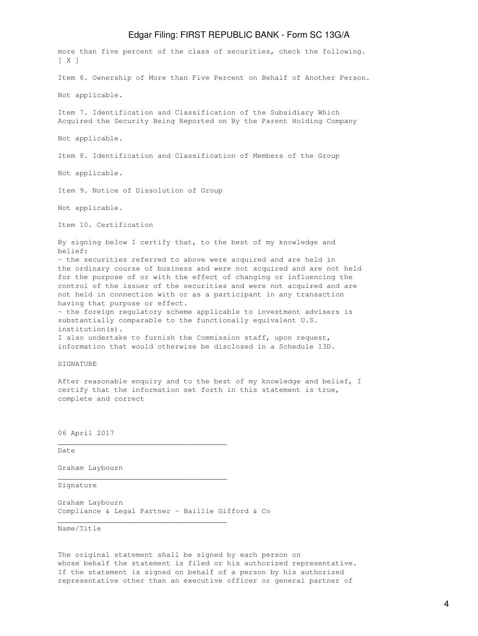more than five percent of the class of securities, check the following. [ X ] Item 6. Ownership of More than Five Percent on Behalf of Another Person. Not applicable. Item 7. Identification and Classification of the Subsidiary Which Acquired the Security Being Reported on By the Parent Holding Company Not applicable. Item 8. Identification and Classification of Members of the Group Not applicable. Item 9. Notice of Dissolution of Group Not applicable. Item 10. Certification By signing below I certify that, to the best of my knowledge and belief: - the securities referred to above were acquired and are held in the ordinary course of business and were not acquired and are not held for the purpose of or with the effect of changing or influencing the control of the issuer of the securities and were not acquired and are not held in connection with or as a participant in any transaction having that purpose or effect. - the foreign regulatory scheme applicable to investment advisers is substantially comparable to the functionally equivalent U.S. institution(s). I also undertake to furnish the Commission staff, upon request, information that would otherwise be disclosed in a Schedule 13D. SIGNATURE

After reasonable enquiry and to the best of my knowledge and belief, I certify that the information set forth in this statement is true, complete and correct

06 April 2017

Date

Graham Laybourn

Signature

Graham Laybourn Compliance & Legal Partner - Baillie Gifford & Co

\_\_\_\_\_\_\_\_\_\_\_\_\_\_\_\_\_\_\_\_\_\_\_\_\_\_\_\_\_\_\_\_\_\_\_\_\_\_\_

\_\_\_\_\_\_\_\_\_\_\_\_\_\_\_\_\_\_\_\_\_\_\_\_\_\_\_\_\_\_\_\_\_\_\_\_\_\_\_

\_\_\_\_\_\_\_\_\_\_\_\_\_\_\_\_\_\_\_\_\_\_\_\_\_\_\_\_\_\_\_\_\_\_\_\_\_\_\_

Name/Title

The original statement shall be signed by each person on whose behalf the statement is filed or his authorized representative. If the statement is signed on behalf of a person by his authorized representative other than an executive officer or general partner of